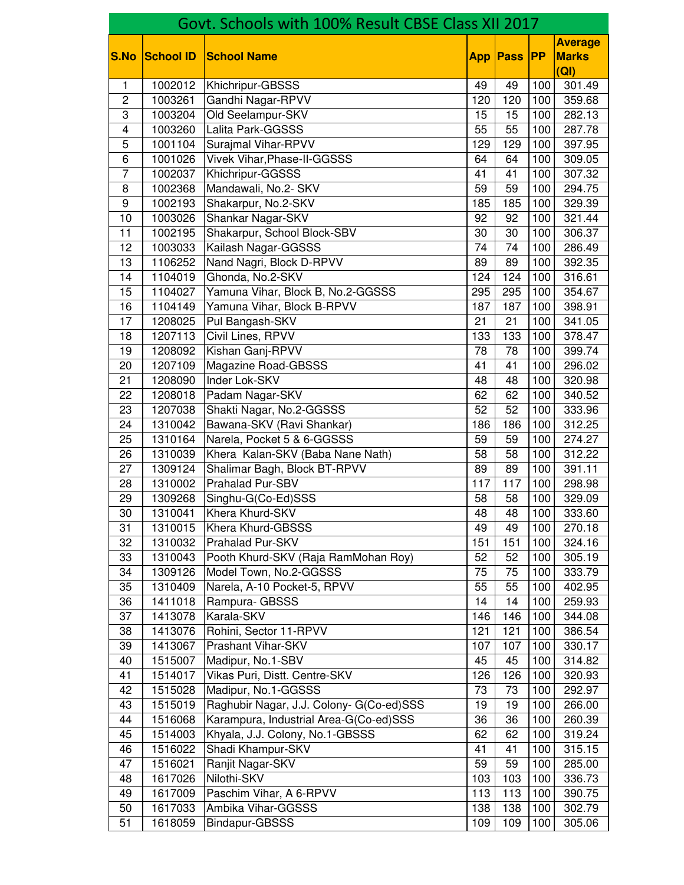| Govt. Schools with 100% Result CBSE Class XII 2017 |                  |                                          |                 |                 |                  |                                        |  |
|----------------------------------------------------|------------------|------------------------------------------|-----------------|-----------------|------------------|----------------------------------------|--|
| <b>S.No</b>                                        | <b>School ID</b> | <b>School Name</b>                       | <b>App</b>      | Pass            | <b>IPP</b>       | <b>Average</b><br><b>Marks</b><br>(QI) |  |
| $\mathbf{1}$                                       | 1002012          | Khichripur-GBSSS                         | 49              | 49              | 100              | 301.49                                 |  |
| $\overline{2}$                                     | 1003261          | Gandhi Nagar-RPVV                        | 120             | 120             | 100              | 359.68                                 |  |
| 3                                                  | 1003204          | Old Seelampur-SKV                        | 15              | 15              | 100              | 282.13                                 |  |
| 4                                                  | 1003260          | Lalita Park-GGSSS                        | $\overline{55}$ | $\overline{55}$ | 100              | 287.78                                 |  |
| $\overline{5}$                                     | 1001104          | <b>Surajmal Vihar-RPVV</b>               | 129             | 129             | 100              | 397.95                                 |  |
| 6                                                  | 1001026          | Vivek Vihar, Phase-II-GGSSS              | 64              | 64              | 100              | 309.05                                 |  |
| 7                                                  | 1002037          | Khichripur-GGSSS                         | 41              | 41              | $\overline{1}00$ | 307.32                                 |  |
| 8                                                  | 1002368          | Mandawali, No.2- SKV                     | 59              | 59              | 100              | 294.75                                 |  |
| 9                                                  | 1002193          | Shakarpur, No.2-SKV                      | 185             | 185             | 100              | 329.39                                 |  |
| 10                                                 | 1003026          | Shankar Nagar-SKV                        | 92              | 92              | 100              | 321.44                                 |  |
| 11                                                 | 1002195          | Shakarpur, School Block-SBV              | 30              | 30              | 100              | 306.37                                 |  |
| $\overline{12}$                                    | 1003033          | Kailash Nagar-GGSSS                      | $\overline{74}$ | 74              | 100              | 286.49                                 |  |
| $\overline{13}$                                    | 1106252          | Nand Nagri, Block D-RPVV                 | 89              | 89              | 100              | 392.35                                 |  |
| 14                                                 | 1104019          | Ghonda, No.2-SKV                         | 124             | 124             | 100              | 316.61                                 |  |
| 15                                                 | 1104027          | Yamuna Vihar, Block B, No.2-GGSSS        | 295             | 295             | 100              | 354.67                                 |  |
| 16                                                 | 1104149          | Yamuna Vihar, Block B-RPVV               | 187             | 187             | 100              | 398.91                                 |  |
| 17                                                 | 1208025          | Pul Bangash-SKV                          | 21              | 21              | $\overline{1}00$ | 341.05                                 |  |
| 18                                                 | 1207113          | Civil Lines, RPVV                        | 133             | 133             | 100              | 378.47                                 |  |
| 19                                                 | 1208092          | Kishan Ganj-RPVV                         | 78              | 78              | 100              | 399.74                                 |  |
| 20                                                 | 1207109          | Magazine Road-GBSSS                      | 41              | 41              | 100              | 296.02                                 |  |
| 21                                                 | 1208090          | Inder Lok-SKV                            | 48              | 48              | 100              | 320.98                                 |  |
| 22                                                 | 1208018          | Padam Nagar-SKV                          | 62              | 62              | 100              | 340.52                                 |  |
| 23                                                 | 1207038          | Shakti Nagar, No.2-GGSSS                 | $\overline{52}$ | 52              | 100              | 333.96                                 |  |
| 24                                                 | 1310042          | Bawana-SKV (Ravi Shankar)                | 186             | 186             | 100              | 312.25                                 |  |
| 25                                                 | 1310164          | Narela, Pocket 5 & 6-GGSSS               | 59              | 59              | 100              | 274.27                                 |  |
| 26                                                 | 1310039          | Khera Kalan-SKV (Baba Nane Nath)         | 58              | 58              | 100              | 312.22                                 |  |
| 27                                                 | 1309124          | Shalimar Bagh, Block BT-RPVV             | 89              | 89              | $\overline{100}$ | 391.11                                 |  |
| 28                                                 | 1310002          | Prahalad Pur-SBV                         | 117             | 117             | 100              | 298.98                                 |  |
| 29                                                 | 1309268          | Singhu-G(Co-Ed)SSS                       | 58              | 58              | 100              | 329.09                                 |  |
| 30                                                 | 1310041          | Khera Khurd-SKV                          | 48              | 48              | 100              | 333.60                                 |  |
| 31                                                 | 1310015          | Khera Khurd-GBSSS                        | 49              | 49              | 100              | 270.18                                 |  |
| 32                                                 | 1310032          | Prahalad Pur-SKV                         | 151             | 151             | 100              | 324.16                                 |  |
| 33                                                 | 1310043          | Pooth Khurd-SKV (Raja RamMohan Roy)      | 52              | 52              | 100              | 305.19                                 |  |
| 34                                                 | 1309126          | Model Town, No.2-GGSSS                   | 75              | 75              | 100              | 333.79                                 |  |
| 35                                                 | 1310409          | Narela, A-10 Pocket-5, RPVV              | 55              | 55              | 100              | 402.95                                 |  |
| 36                                                 | 1411018          | Rampura- GBSSS                           | 14              | 14              | 100              | 259.93                                 |  |
| 37                                                 | 1413078          | Karala-SKV                               | 146             | 146             | 100              | 344.08                                 |  |
| 38                                                 | 1413076          | Rohini, Sector 11-RPVV                   | 121             | 121             | 100              | 386.54                                 |  |
| 39                                                 | 1413067          | Prashant Vihar-SKV                       | 107             | 107             | 100              | 330.17                                 |  |
| 40                                                 | 1515007          | Madipur, No.1-SBV                        | 45              | 45              | 100              | 314.82                                 |  |
| 41                                                 | 1514017          | Vikas Puri, Distt. Centre-SKV            | 126             | 126             | 100              | 320.93                                 |  |
| 42                                                 | 1515028          | Madipur, No.1-GGSSS                      | 73              | 73              | 100              | 292.97                                 |  |
| 43                                                 | 1515019          | Raghubir Nagar, J.J. Colony- G(Co-ed)SSS | 19              | 19              | 100              | 266.00                                 |  |
| 44                                                 | 1516068          | Karampura, Industrial Area-G(Co-ed)SSS   | 36              | 36              | 100              | 260.39                                 |  |
| 45                                                 | 1514003          | Khyala, J.J. Colony, No.1-GBSSS          | 62              | 62              | 100              | 319.24                                 |  |
| 46                                                 | 1516022          | Shadi Khampur-SKV                        | 41              | 41              | 100              | 315.15                                 |  |
| 47                                                 | 1516021          | Ranjit Nagar-SKV                         | 59              | 59              | 100              | 285.00                                 |  |
| 48                                                 | 1617026          | Nilothi-SKV                              | 103             | 103             | 100              | 336.73                                 |  |
| 49                                                 | 1617009          | Paschim Vihar, A 6-RPVV                  | 113             | 113             | 100              | 390.75                                 |  |
| 50                                                 | 1617033          | Ambika Vihar-GGSSS                       | 138             | 138             | 100              | 302.79                                 |  |
| 51                                                 | 1618059          | Bindapur-GBSSS                           | 109             | 109             | 100              | 305.06                                 |  |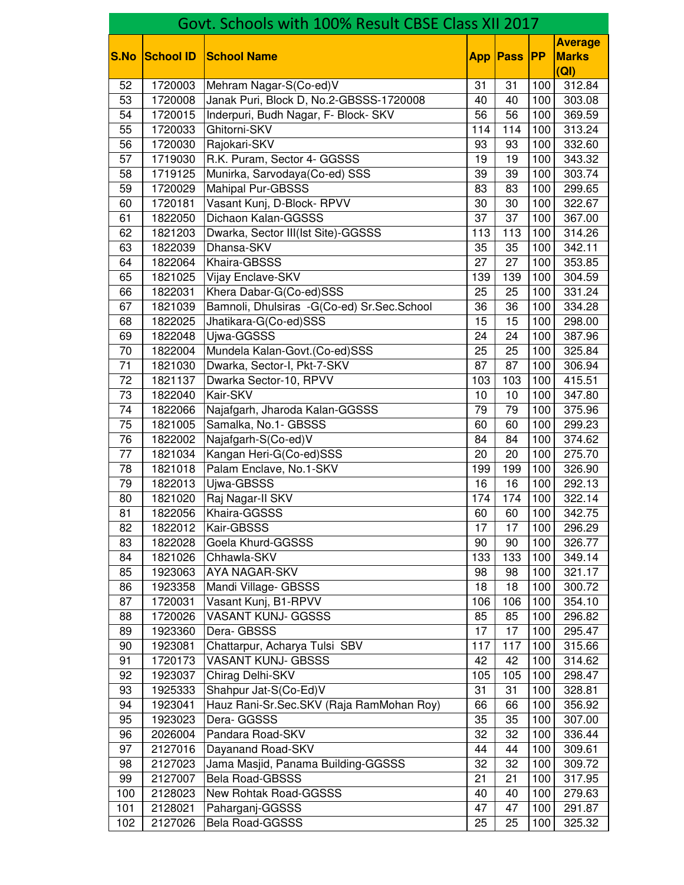|                 | Govt. Schools with 100% Result CBSE Class XII 2017 |                                            |                 |                 |                  |                                        |  |  |
|-----------------|----------------------------------------------------|--------------------------------------------|-----------------|-----------------|------------------|----------------------------------------|--|--|
| <b>S.No</b>     | <b>School ID</b>                                   | <b>School Name</b>                         | <b>App</b>      | <b>Pass</b>     | <b>IPP</b>       | <b>Average</b><br><b>Marks</b><br>(QI) |  |  |
| 52              | 1720003                                            | Mehram Nagar-S(Co-ed)V                     | 31              | 31              | 100              | 312.84                                 |  |  |
| $\overline{53}$ | 1720008                                            | Janak Puri, Block D, No.2-GBSSS-1720008    | 40              | 40              | 100              | 303.08                                 |  |  |
| 54              | 1720015                                            | Inderpuri, Budh Nagar, F- Block- SKV       | $\overline{56}$ | 56              | 100              | 369.59                                 |  |  |
| 55              | 1720033                                            | Ghitorni-SKV                               | 114             | 114             | 100              | 313.24                                 |  |  |
| 56              | 1720030                                            | Rajokari-SKV                               | 93              | 93              | 100              | 332.60                                 |  |  |
| 57              | 1719030                                            | R.K. Puram, Sector 4- GGSSS                | 19              | 19              | 100              | 343.32                                 |  |  |
| 58              | 1719125                                            | Munirka, Sarvodaya(Co-ed) SSS              | $\overline{39}$ | 39              | $\overline{1}00$ | 303.74                                 |  |  |
| 59              | 1720029                                            | <b>Mahipal Pur-GBSSS</b>                   | 83              | 83              | 100              | 299.65                                 |  |  |
| 60              | 1720181                                            | Vasant Kunj, D-Block- RPVV                 | 30              | 30              | 100              | 322.67                                 |  |  |
| 61              | 1822050                                            | Dichaon Kalan-GGSSS                        | 37              | 37              | 100              | 367.00                                 |  |  |
| 62              | 1821203                                            | Dwarka, Sector III(Ist Site)-GGSSS         | 113             | 113             | 100              | 314.26                                 |  |  |
| 63              | 1822039                                            | Dhansa-SKV                                 | $\overline{35}$ | $\overline{35}$ | 100              | 342.11                                 |  |  |
| 64              | 1822064                                            | Khaira-GBSSS                               | $\overline{27}$ | 27              | 100              | 353.85                                 |  |  |
| 65              | 1821025                                            | Vijay Enclave-SKV                          | 139             | 139             | 100              | 304.59                                 |  |  |
| 66              | 1822031                                            | Khera Dabar-G(Co-ed)SSS                    | 25              | 25              | 100              | 331.24                                 |  |  |
| 67              | 1821039                                            | Bamnoli, Dhulsiras -G(Co-ed) Sr.Sec.School | 36              | 36              | 100              | 334.28                                 |  |  |
| 68              | 1822025                                            | Jhatikara-G(Co-ed)SSS                      | $\overline{15}$ | 15              | $\overline{1}00$ | 298.00                                 |  |  |
| 69              | 1822048                                            | Ujwa-GGSSS                                 | 24              | 24              | 100              | 387.96                                 |  |  |
| 70              | 1822004                                            | Mundela Kalan-Govt.(Co-ed)SSS              | 25              | 25              | 100              | 325.84                                 |  |  |
| $\overline{71}$ | 1821030                                            | Dwarka, Sector-I, Pkt-7-SKV                | 87              | 87              | 100              | 306.94                                 |  |  |
| 72              | 1821137                                            | Dwarka Sector-10, RPVV                     | 103             | 103             | 100              | 415.51                                 |  |  |
| $\overline{73}$ | 1822040                                            | Kair-SKV                                   | 10              | $\overline{10}$ | 100              | 347.80                                 |  |  |
| $\overline{74}$ | 1822066                                            | Najafgarh, Jharoda Kalan-GGSSS             | 79              | 79              | 100              | 375.96                                 |  |  |
| $\overline{75}$ | 1821005                                            | Samalka, No.1- GBSSS                       | 60              | 60              | 100              | 299.23                                 |  |  |
| 76              | 1822002                                            | Najafgarh-S(Co-ed)V                        | 84              | 84              | 100              | 374.62                                 |  |  |
| 77              | 1821034                                            | Kangan Heri-G(Co-ed)SSS                    | 20              | 20              | 100              | 275.70                                 |  |  |
| $\overline{78}$ | 1821018                                            | Palam Enclave, No.1-SKV                    | 199             | 199             | 100              | 326.90                                 |  |  |
| 79              | 1822013                                            | Ujwa-GBSSS                                 | 16              | 16              | 100              | 292.13                                 |  |  |
| 80              | 1821020                                            | Raj Nagar-II SKV                           | 174             | 174             | 100              | 322.14                                 |  |  |
| 81              | 1822056                                            | Khaira-GGSSS                               | 60              | 60              | 100              | 342.75                                 |  |  |
| 82              | 1822012                                            | Kair-GBSSS                                 | 17              | 17              | 100              | 296.29                                 |  |  |
| 83              | 1822028                                            | Goela Khurd-GGSSS                          | 90              | 90              | 100              | 326.77                                 |  |  |
| 84              | 1821026                                            | Chhawla-SKV                                | 133             | 133             | 100              | 349.14                                 |  |  |
| 85              | 1923063                                            | <b>AYA NAGAR-SKV</b>                       | 98              | 98              | 100              | 321.17                                 |  |  |
| 86              | 1923358                                            | Mandi Village- GBSSS                       | 18              | 18              | 100              | 300.72                                 |  |  |
| 87              | 1720031                                            | Vasant Kunj, B1-RPVV                       | 106             | 106             | 100              | 354.10                                 |  |  |
| 88              | 1720026                                            | <b>VASANT KUNJ- GGSSS</b>                  | 85              | 85              | 100              | 296.82                                 |  |  |
| 89              | 1923360                                            | Dera- GBSSS                                | 17              | 17              | 100              | 295.47                                 |  |  |
| 90              | 1923081                                            | Chattarpur, Acharya Tulsi SBV              | 117             | 117             | 100              | 315.66                                 |  |  |
| 91              | 1720173                                            | <b>VASANT KUNJ- GBSSS</b>                  | 42              | 42              | 100              | 314.62                                 |  |  |
| 92              | 1923037                                            | Chirag Delhi-SKV                           | 105             | 105             | 100              | 298.47                                 |  |  |
| 93              | 1925333                                            | Shahpur Jat-S(Co-Ed)V                      | 31              | 31              | 100              | 328.81                                 |  |  |
| 94              | 1923041                                            | Hauz Rani-Sr.Sec.SKV (Raja RamMohan Roy)   | 66              | 66              | 100              | 356.92                                 |  |  |
| 95              | 1923023                                            | Dera- GGSSS                                | 35              | 35              | 100              | 307.00                                 |  |  |
| 96              | 2026004                                            | Pandara Road-SKV                           | 32              | 32              | 100              | 336.44                                 |  |  |
| 97              | 2127016                                            | Dayanand Road-SKV                          | 44              | 44              | 100              | 309.61                                 |  |  |
| 98              | 2127023                                            | Jama Masjid, Panama Building-GGSSS         | $\overline{32}$ | 32              | 100              | 309.72                                 |  |  |
| 99              | 2127007                                            | <b>Bela Road-GBSSS</b>                     | 21              | 21              | 100              | 317.95                                 |  |  |
| 100             | 2128023                                            | New Rohtak Road-GGSSS                      | 40              | 40              | 100              | 279.63                                 |  |  |
| 101             | 2128021                                            | Paharganj-GGSSS                            | 47              | 47              | 100              | 291.87                                 |  |  |
| 102             | 2127026                                            | Bela Road-GGSSS                            | 25              | 25              | 100              | 325.32                                 |  |  |